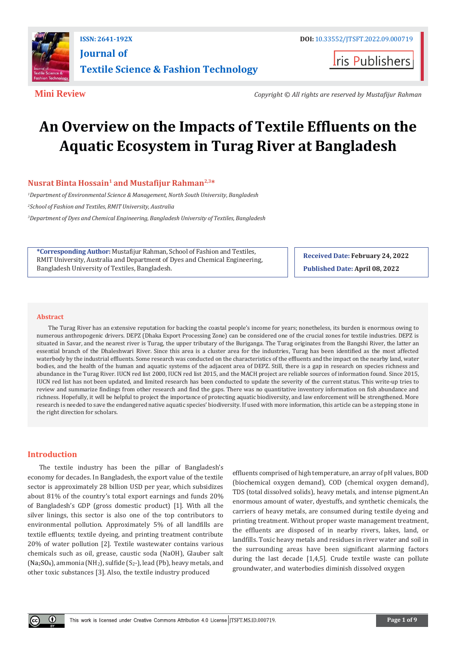

**ISSN: 2641-192X [Journal](https://irispublishers.com/jtsft/) of Textile Science & Fashion [Technology](https://irispublishers.com/jtsft/)**

**Iris Publishers** 

**Mini Review** *Copyright © All rights are reserved by Mustafijur Rahman*

# **An Overview on the Impacts of Textile Effluents on the Aquatic Ecosystem in Turag River at Bangladesh**

# **Nusrat Binta Hossain<sup>1</sup> and Mustafijur Rahman2,3\***

*<sup>1</sup>Department of Environmental Science & Management, North South University, Bangladesh <sup>2</sup>School of Fashion and Textiles, RMIT University, Australia*

*<sup>3</sup>Department of Dyes and Chemical Engineering, Bangladesh University of Textiles, Bangladesh*

**\*Corresponding Author:** Mustafijur Rahman, School of Fashion and Textiles, RMIT University, Australia and Department of Dyes and Chemical Engineering, Bangladesh University of Textiles, Bangladesh.

**Received Date: February 24, 2022 Published Date: April 08, 2022**

# **Abstract**

The Turag River has an extensive reputation for backing the coastal people's income for years; nonetheless, its burden is enormous owing to numerous anthropogenic drivers. DEPZ (Dhaka Export Processing Zone) can be considered one of the crucial zones for textile industries. DEPZ is situated in Savar, and the nearest river is Turag, the upper tributary of the Buriganga. The Turag originates from the Bangshi River, the latter an essential branch of the Dhaleshwari River. Since this area is a cluster area for the industries, Turag has been identified as the most affected waterbody by the industrial effluents. Some research was conducted on the characteristics of the effluents and the impact on the nearby land, water bodies, and the health of the human and aquatic systems of the adjacent area of DEPZ. Still, there is a gap in research on species richness and abundance in the Turag River. IUCN red list 2000, IUCN red list 2015, and the MACH project are reliable sources of information found. Since 2015, IUCN red list has not been updated, and limited research has been conducted to update the severity of the current status. This write-up tries to review and summarize findings from other research and find the gaps. There was no quantitative inventory information on fish abundance and richness. Hopefully, it will be helpful to project the importance of protecting aquatic biodiversity, and law enforcement will be strengthened. More research is needed to save the endangered native aquatic species' biodiversity. If used with more information, this article can be a stepping stone in the right direction for scholars.

# **Introduction**

The textile industry has been the pillar of Bangladesh's economy for decades. In Bangladesh, the export value of the textile sector is approximately 28 billion USD per year, which subsidizes about 81% of the country's total export earnings and funds 20% of Bangladesh's GDP (gross domestic product) [1]. With all the silver linings, this sector is also one of the top contributors to environmental pollution. Approximately 5% of all landfills are textile effluents; textile dyeing, and printing treatment contribute 20% of water pollution [2]. Textile wastewater contains various chemicals such as oil, grease, caustic soda (NaOH), Glauber salt (Na<sub>2</sub>SO<sub>4</sub>), ammonia (NH<sub>2</sub>), sulfide (S<sub>2</sub>-), lead (Pb), heavy metals, and other toxic substances [3]. Also, the textile industry produced

effluents comprised of high temperature, an array of pH values, BOD (biochemical oxygen demand), COD (chemical oxygen demand), TDS (total dissolved solids), heavy metals, and intense pigment.An enormous amount of water, dyestuffs, and synthetic chemicals, the carriers of heavy metals, are consumed during textile dyeing and printing treatment. Without proper waste management treatment, the effluents are disposed of in nearby rivers, lakes, land, or landfills. Toxic heavy metals and residues in river water and soil in the surrounding areas have been significant alarming factors during the last decade [1,4,5]. Crude textile waste can pollute groundwater, and waterbodies diminish dissolved oxygen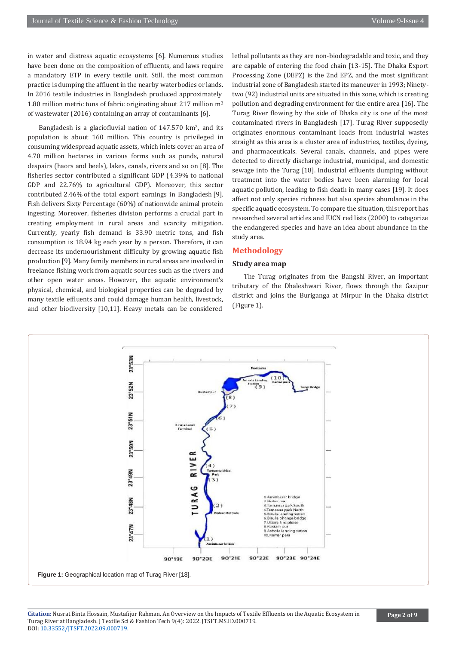in water and distress aquatic ecosystems [6]. Numerous studies have been done on the composition of effluents, and laws require a mandatory ETP in every textile unit. Still, the most common practice is dumping the affluent in the nearby waterbodies or lands. In 2016 textile industries in Bangladesh produced approximately 1.80 million metric tons of fabric originating about 217 million m<sup>3</sup> of wastewater (2016) containing an array of contaminants [6].

Bangladesh is a glaciofluvial nation of 147.570 km2, and its population is about 160 million. This country is privileged in consuming widespread aquatic assets, which inlets cover an area of 4.70 million hectares in various forms such as ponds, natural despairs (haors and beels), lakes, canals, rivers and so on [8]. The fisheries sector contributed a significant GDP (4.39% to national GDP and 22.76% to agricultural GDP). Moreover, this sector contributed 2.46% of the total export earnings in Bangladesh [9]. Fish delivers Sixty Percentage (60%) of nationwide animal protein ingesting. Moreover, fisheries division performs a crucial part in creating employment in rural areas and scarcity mitigation. Currently, yearly fish demand is 33.90 metric tons, and fish consumption is 18.94 kg each year by a person. Therefore, it can decrease its undernourishment difficulty by growing aquatic fish production [9]. Many family members in rural areas are involved in freelance fishing work from aquatic sources such as the rivers and other open water areas. However, the aquatic environment's physical, chemical, and biological properties can be degraded by many textile effluents and could damage human health, livestock, and other biodiversity [10,11]. Heavy metals can be considered

lethal pollutants as they are non-biodegradable and toxic, and they are capable of entering the food chain [13-15]. The Dhaka Export Processing Zone (DEPZ) is the 2nd EPZ, and the most significant industrial zone of Bangladesh started its maneuver in 1993; Ninetytwo (92) industrial units are situated in this zone, which is creating pollution and degrading environment for the entire area [16]. The Turag River flowing by the side of Dhaka city is one of the most contaminated rivers in Bangladesh [17]. Turag River supposedly originates enormous contaminant loads from industrial wastes straight as this area is a cluster area of industries, textiles, dyeing, and pharmaceuticals. Several canals, channels, and pipes were detected to directly discharge industrial, municipal, and domestic sewage into the Turag [18]. Industrial effluents dumping without treatment into the water bodies have been alarming for local aquatic pollution, leading to fish death in many cases [19]. It does affect not only species richness but also species abundance in the specific aquatic ecosystem. To compare the situation, this report has researched several articles and IUCN red lists (2000) to categorize the endangered species and have an idea about abundance in the study area.

## **Methodology**

# **Study area map**

The Turag originates from the Bangshi River, an important tributary of the Dhaleshwari River, flows through the Gazipur district and joins the Buriganga at Mirpur in the Dhaka district (Figure 1).



**Citation:** Nusrat Binta Hossain, Mustafijur Rahman. An Overview on the Impacts of Textile Effluents on the Aquatic Ecosystem in Turag River at Bangladesh. J Textile Sci & Fashion Tech 9(4): 2022. JTSFT.MS.ID.000719. DOI[: 10.33552/JTSFT.2022.09.000719.](https://dx.doi.org/10.33552/JTSFT.2022.09.000719)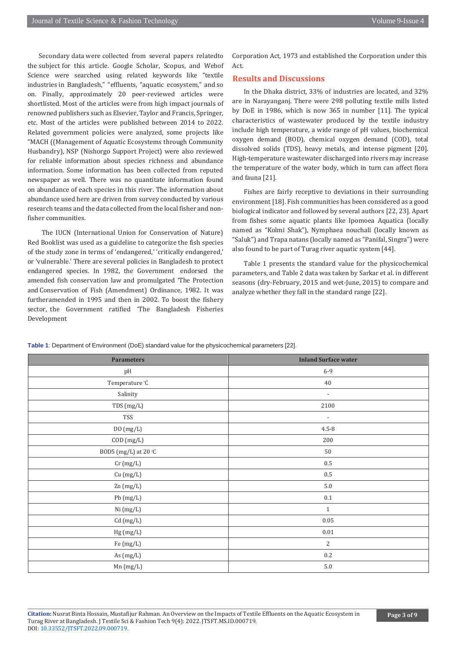Secondary data were collected from several papers relatedto the subject for this article. Google Scholar, Scopus, and Webof Science were searched using related keywords like "textile industries in Bangladesh," "effluents, "aquatic ecosystem," and so on. Finally, approximately 20 peer-reviewed articles were shortlisted. Most of the articles were from high impact journals of renowned publishers such as Elsevier, Taylor and Francis, Springer, etc. Most of the articles were published between 2014 to 2022. Related government policies were analyzed, some projects like "MACH ((Management of Aquatic Ecosystems through Community Husbandry), NSP (Nishorgo Support Project) were also reviewed for reliable information about species richness and abundance information. Some information has been collected from reputed newspaper as well. There was no quantitate information found on abundance of each species in this river. The information about abundance used here are driven from survey conducted by various research teams and the data collected from the local fisher and nonfisher communities.

The IUCN (International Union for Conservation of Nature) Red Booklist was used as a guideline to categorize the fish species of the study zone in terms of 'endangered,' 'critically endangered,' or 'vulnerable.' There are several policies in Bangladesh to protect endangered species. In 1982, the Government endorsed the amended fish conservation law and promulgated 'The Protection and Conservation of Fish (Amendment) Ordinance, 1982. It was furtheramended in 1995 and then in 2002. To boost the fishery sector, the Government ratified 'The Bangladesh Fisheries Development

Corporation Act, 1973 and established the Corporation under this  $\Delta$  ct.

# **Results and Discussions**

In the Dhaka district, 33% of industries are located, and 32% are in Narayanganj. There were 298 polluting textile mills listed by DoE in 1986, which is now 365 in number [11]. The typical characteristics of wastewater produced by the textile industry include high temperature, a wide range of pH values, biochemical oxygen demand (BOD), chemical oxygen demand (COD), total dissolved solids (TDS), heavy metals, and intense pigment [20]. High-temperature wastewater discharged into rivers may increase the temperature of the water body, which in turn can affect flora and fauna [21].

Fishes are fairly receptive to deviations in their surrounding environment [18]. Fish communities has been considered as a good biological indicator and followed by several authors [22, 23]. Apart from fishes some aquatic plants like Ipomoea Aquatica (locally named as "Kolmi Shak"), Nymphaea nouchali (locally known as "Saluk") and Trapa natans (locally named as "Panifal, Singra") were also found to be part of Turag river aquatic system [44].

Table 1 presents the standard value for the physicochemical parameters, and Table 2 data was taken by Sarkar et al. in different seasons (dry-February, 2015 and wet-June, 2015) to compare and analyze whether they fall in the standard range [22].

| <b>Parameters</b>                               | <b>Inland Surface water</b> |
|-------------------------------------------------|-----------------------------|
| pH                                              | $6 - 9$                     |
| Temperature °C                                  | 40                          |
| Salinity                                        | $\overline{\phantom{a}}$    |
| TDS (mg/L)                                      | 2100                        |
| TSS                                             | $\overline{\phantom{a}}$    |
| DO(mg/L)                                        | $4.5 - 8$                   |
| COD (mg/L)                                      | 200                         |
| BOD5 (mg/L) at 20 °C                            | $50\,$                      |
| $\operatorname{Cr\,}\!\left(\text{mg/L}\right)$ | $0.5\,$                     |
| Cu (mg/L)                                       | $0.5\,$                     |
| Zn (mg/L)                                       | $5.0\,$                     |
| Pb (mg/L)                                       | $0.1\,$                     |
| Ni (mg/L)                                       | $\,1\,$                     |
| Cd (mg/L)                                       | 0.05                        |
| Hg(mg/L)                                        | $0.01\,$                    |
| $\rm Fe~(mg/L)$                                 | $\overline{c}$              |
| As (mg/L)                                       | $0.2\,$                     |
| $Mn$ (mg/L)                                     | $5.0\,$                     |

**Table 1**: Department of Environment (DoE) standard value for the physicochemical parameters [22].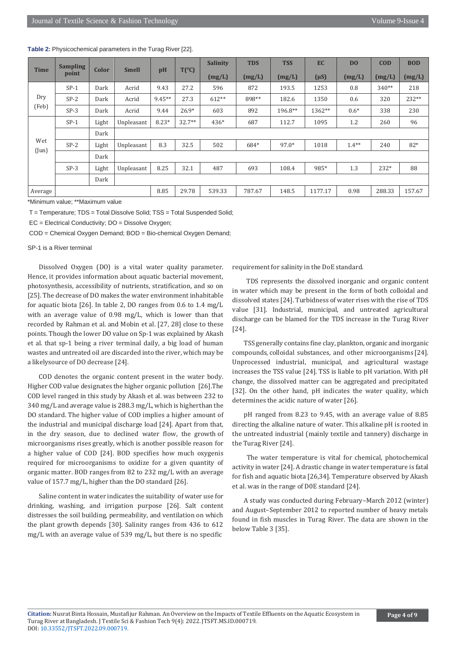| Time         | <b>Sampling</b><br><b>Color</b><br>point |       | <b>Smell</b> | pH       | $T(^{\circ}C)$ | <b>Salinity</b> | <b>TDS</b> | <b>TSS</b> | EC.       | D <sub>0</sub> | COD     | <b>BOD</b> |
|--------------|------------------------------------------|-------|--------------|----------|----------------|-----------------|------------|------------|-----------|----------------|---------|------------|
|              |                                          |       |              |          |                | (mg/L)          | (mg/L)     | (mg/L)     | $(\mu S)$ | (mg/L)         | (mg/L)  | (mg/L)     |
| Dry<br>(Feb) | $SP-1$                                   | Dark  | Acrid        | 9.43     | 27.2           | 596             | 872        | 193.5      | 1253      | 0.8            | $340**$ | 218        |
|              | $SP-2$                                   | Dark  | Acrid        | $9.45**$ | 27.3           | $612**$         | 898**      | 182.6      | 1350      | 0.6            | 320     | 232**      |
|              | $SP-3$                                   | Dark  | Acrid        | 9.44     | $26.9*$        | 603             | 892        | 196.8**    | 1362**    | $0.6*$         | 338     | 230        |
| Wet<br>(Jun) | $SP-1$                                   | Light | Unpleasant   | $8.23*$  | $32.7**$       | 436*            | 687        | 112.7      | 1095      | 1.2            | 260     | 96         |
|              |                                          | Dark  |              |          |                |                 |            |            |           |                |         |            |
|              | $SP-2$                                   | Light | Unpleasant   | 8.3      | 32.5           | 502             | 684*       | $97.0*$    | 1018      | $1.4***$       | 240     | 82*        |
|              |                                          | Dark  |              |          |                |                 |            |            |           |                |         |            |
|              | $SP-3$                                   | Light | Unpleasant   | 8.25     | 32.1           | 487             | 693        | 108.4      | 985*      | 1.3            | $232*$  | 88         |
|              |                                          | Dark  |              |          |                |                 |            |            |           |                |         |            |
| Average      |                                          |       |              | 8.85     | 29.78          | 539.33          | 787.67     | 148.5      | 1177.17   | 0.98           | 288.33  | 157.67     |

**Table 2:** Physicochemical parameters in the Turag River [22].

\*Minimum value; \*\*Maximum value

T = Temperature; TDS = Total Dissolve Solid; TSS = Total Suspended Solid;

EC = Electrical Conductivity; DO = Dissolve Oxygen;

COD = Chemical Oxygen Demand; BOD = Bio-chemical Oxygen Demand;

SP-1 is a River terminal

Dissolved Oxygen (DO) is a vital water quality parameter. Hence, it provides information about aquatic bacterial movement, photosynthesis, accessibility of nutrients, stratification, and so on [25]. The decrease of DO makes the water environment inhabitable for aquatic biota [26]. In table 2, DO ranges from 0.6 to 1.4 mg/L with an average value of 0.98 mg/L, which is lower than that recorded by Rahman et al. and Mobin et al. [27, 28] close to these points. Though the lower DO value on Sp-1 was explained by Akash et al. that sp-1 being a river terminal daily, a big load of human wastes and untreated oil are discarded into the river, which may be a likelysource of DO decrease [24].

COD denotes the organic content present in the water body. Higher COD value designates the higher organic pollution [26].The COD level ranged in this study by Akash et al. was between 232 to 340 mg/L and average value is 288.3 mg/L, which is higherthan the DO standard. The higher value of COD implies a higher amount of the industrial and municipal discharge load [24]. Apart from that, in the dry season, due to declined water flow, the growth of microorganisms rises greatly, which is another possible reason for a higher value of COD [24]. BOD specifies how much oxygenis required for microorganisms to oxidize for a given quantity of organic matter. BOD ranges from 82 to 232 mg/L with an average value of 157.7 mg/L, higher than the DO standard [26].

Saline content in water indicates the suitability of water use for drinking, washing, and irrigation purpose [26]. Salt content distresses the soil building, permeability, and ventilation on which the plant growth depends [30]. Salinity ranges from 436 to 612 mg/L with an average value of 539 mg/L, but there is no specific

requirement for salinity in the DoE standard.

TDS represents the dissolved inorganic and organic content in water which may be present in the form of both colloidal and dissolved states [24]. Turbidness of water rises with the rise of TDS value [31]. Industrial, municipal, and untreated agricultural discharge can be blamed for the TDS increase in the Turag River [24].

TSS generally contains fine clay, plankton, organic and inorganic compounds, colloidal substances, and other microorganisms [24]. Unprocessed industrial, municipal, and agricultural wastage increases the TSS value [24]. TSS is liable to pH variation. With pH change, the dissolved matter can be aggregated and precipitated [32]. On the other hand, pH indicates the water quality, which determines the acidic nature of water [26].

pH ranged from 8.23 to 9.45, with an average value of 8.85 directing the alkaline nature of water. This alkaline pH is rooted in the untreated industrial (mainly textile and tannery) discharge in the Turag River [24].

The water temperature is vital for chemical, photochemical activity in water [24]. A drastic change in water temperature is fatal for fish and aquatic biota [26,34]. Temperature observed by Akash et al. was in the range of D0E standard [24].

A study was conducted during February–March 2012 (winter) and August–September 2012 to reported number of heavy metals found in fish muscles in Turag River. The data are shown in the below Table 3 [35].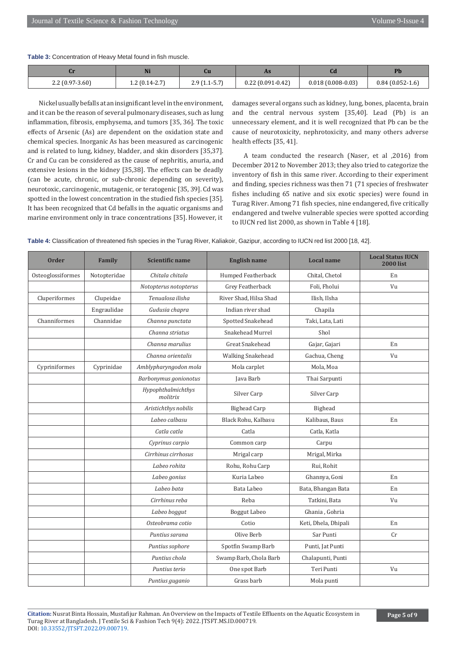### **Table 3:** Concentration of Heavy Metal found in fish muscle.

|                  | Ni              | սս             | AS                   |                     |                   |
|------------------|-----------------|----------------|----------------------|---------------------|-------------------|
| $2.2(0.97-3.60)$ | $1.2(0.14-2.7)$ | $2.9(1.1-5.7)$ | $0.22(0.091 - 0.42)$ | $0.018(0.008-0.03)$ | $0.84(0.052-1.6)$ |

Nickel usuallybefalls at aninsignificantlevel in the environment, and it can be the reason of several pulmonary diseases, such as lung inflammation, fibrosis, emphysema, and tumors [35, 36]. The toxic effects of Arsenic (As) are dependent on the oxidation state and chemical species. Inorganic As has been measured as carcinogenic and is related to lung, kidney, bladder, and skin disorders [35,37]. Cr and Cu can be considered as the cause of nephritis, anuria, and extensive lesions in the kidney [35,38]. The effects can be deadly (can be acute, chronic, or sub-chronic depending on severity), neurotoxic, carcinogenic, mutagenic, or teratogenic [35, 39]. Cd was spotted in the lowest concentration in the studied fish species [35]. It has been recognized that Cd befalls in the aquatic organisms and marine environment only in trace concentrations [35]. However, it

damages several organs such as kidney, lung, bones, placenta, brain and the central nervous system [35,40]. Lead (Pb) is an unnecessary element, and it is well recognized that Pb can be the cause of neurotoxicity, nephrotoxicity, and many others adverse health effects [35, 41].

A team conducted the research (Naser, et al ,2016) from December 2012 to November 2013; they also tried to categorize the inventory of fish in this same river. According to their experiment and finding, species richness was then 71 (71 species of freshwater fishes including 65 native and six exotic species) were found in Turag River. Among 71 fish species, nine endangered, five critically endangered and twelve vulnerable species were spotted according to IUCN red list 2000, as shown in Table 4 [18].

| <b>Order</b>      | Family       | <b>Scientific name</b>         | <b>English name</b>    | <b>Local name</b>    | <b>Local Status IUCN</b><br><b>2000</b> list |
|-------------------|--------------|--------------------------------|------------------------|----------------------|----------------------------------------------|
| Osteoglossiformes | Notopteridae | Chitala chitala                | Humped Featherback     | Chital, Chetol       | En                                           |
|                   |              | Notopterus notopterus          | Grey Featherback       | Foli, Fholui         | Vu                                           |
| Cluperiformes     | Clupeidae    | Tenualosa ilisha               | River Shad, Hilsa Shad | Ilish, Ilsha         |                                              |
|                   | Engraulidae  | Gudusia chapra                 | Indian river shad      | Chapila              |                                              |
| Channiformes      | Channidae    | Channa punctata                | Spotted Snakehead      | Taki, Lata, Lati     |                                              |
|                   |              | Channa striatus                | Snakehead Murrel       | Shol                 |                                              |
|                   |              | Channa marulius                | <b>Great Snakehead</b> | Gajar, Gajari        | En                                           |
|                   |              | Channa orientalis              | Walking Snakehead      | Gachua, Cheng        | Vu                                           |
| Cypriniformes     | Cyprinidae   | Amblypharyngodon mola          | Mola carplet           | Mola, Moa            |                                              |
|                   |              | Barbonymus gonionotus          | Java Barb              | Thai Sarpunti        |                                              |
|                   |              | Hypophthalmichthys<br>molitrix | Silver Carp            | Silver Carp          |                                              |
|                   |              | Aristichthys nobilis           | <b>Bighead Carp</b>    | Bighead              |                                              |
|                   |              | Labeo calbasu                  | Black Rohu, Kalbasu    | Kalibaus, Baus       | En                                           |
|                   |              | Catla catla                    | Catla                  | Catla, Katla         |                                              |
|                   |              | Cyprinus carpio                | Common carp            | Carpu                |                                              |
|                   |              | Cirrhinus cirrhosus            | Mrigal carp            | Mrigal, Mirka        |                                              |
|                   |              | Labeo rohita                   | Rohu, Rohu Carp        | Rui, Rohit           |                                              |
|                   |              | Labeo gonius                   | Kuria Labeo            | Ghannya, Goni        | En                                           |
|                   |              | Labeo bata                     | Bata Labeo             | Bata, Bhangan Bata   | En                                           |
|                   |              | Cirrhinus reba                 | Reba                   | Tatkini, Bata        | Vu                                           |
|                   |              | Labeo boggut                   | Boggut Labeo           | Ghania, Gohria       |                                              |
|                   |              | Osteobrama cotio               | Cotio                  | Keti, Dhela, Dhipali | En                                           |
|                   |              | Puntius sarana                 | Olive Berb             | Sar Punti            | Cr                                           |
|                   |              | Puntius sophore                | Spotfin Swamp Barb     | Punti, Jat Punti     |                                              |
|                   |              | Puntius chola                  | Swamp Barb, Chola Barb | Chalapunti, Punti    |                                              |
|                   |              | Puntius terio                  | One spot Barb          | Teri Punti           | Vu                                           |
|                   |              | Puntius guganio                | Grass barb             | Mola punti           |                                              |

**Table 4:** Classification of threatened fish species in the Turag River, Kaliakoir, Gazipur, according to IUCN red list 2000 [18, 42].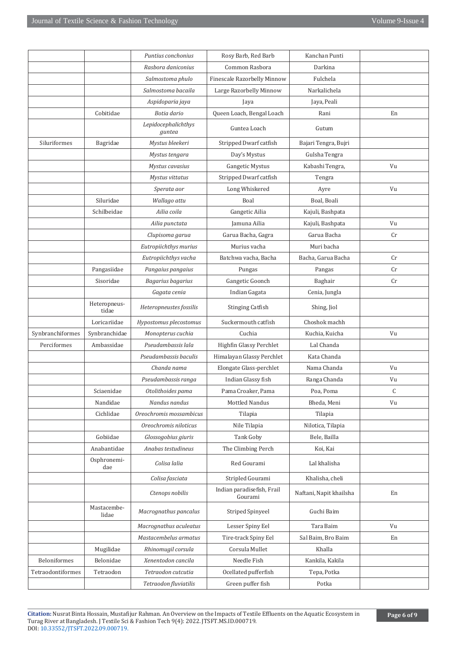|                   |                       | Puntius conchonius            | Rosy Barb, Red Barb                   | Kanchan Punti           |    |
|-------------------|-----------------------|-------------------------------|---------------------------------------|-------------------------|----|
|                   |                       | Rasbora daniconius            | Common Rasbora                        | Darkina                 |    |
|                   |                       | Salmostoma phulo              | Finescale Razorbelly Minnow           | Fulchela                |    |
|                   |                       | Salmostoma bacaila            | Large Razorbelly Minnow               | Narkalichela            |    |
|                   |                       | Aspidoparia jaya              | Jaya                                  | Java, Peali             |    |
|                   | Cobitidae             | Botia dario                   | Queen Loach, Bengal Loach             | Rani                    | En |
|                   |                       | Lepidocephalichthys<br>guntea | Guntea Loach                          | Gutum                   |    |
| Siluriformes      | Bagridae              | Mystus bleekeri               | Stripped Dwarf catfish                | Bajari Tengra, Bujri    |    |
|                   |                       | Mystus tengara                | Day's Mystus                          | Gulsha Tengra           |    |
|                   |                       | Mystus cavasius               | Gangetic Mystus                       | Kabashi Tengra,         | Vu |
|                   |                       | Mystus vittatus               | Stripped Dwarf catfish                | Tengra                  |    |
|                   |                       | Sperata aor                   | Long Whiskered                        | Ayre                    | Vu |
|                   | Siluridae             | Wallago attu                  | Boal                                  | Boal, Boali             |    |
|                   | Schilbeidae           | Ailia coila                   | Gangetic Ailia                        | Kajuli, Bashpata        |    |
|                   |                       | Ailia punctata                | Jamuna Ailia                          | Kajuli, Bashpata        | Vu |
|                   |                       | Clupisoma garua               | Garua Bacha, Gagra                    | Garua Bacha             | Cr |
|                   |                       | Eutropiichthys murius         | Murius vacha                          | Muri bacha              |    |
|                   |                       | Eutropiichthys vacha          | Batchwa vacha, Bacha                  | Bacha, Garua Bacha      | Cr |
|                   | Pangasiidae           | Pangaius pangaius             | Pungas                                | Pangas                  | Cr |
|                   | Sisoridae             | Bagarius bagarius             | Gangetic Goonch                       | Baghair                 | Cr |
|                   |                       | Gagata cenia                  | Indian Gagata                         | Cenia, Jungla           |    |
|                   | Heteropneus-<br>tidae | Heteropneustes fossilis       | <b>Stinging Catfish</b>               | Shing, Jiol             |    |
|                   | Loricariidae          | Hypostomus plecostomus        | Suckermouth catfish                   | Choshok machh           |    |
| Synbranchiformes  | Synbranchidae         | Monopterus cuchia             | Cuchia                                | Kuchia, Kuicha          | Vu |
| Perciformes       | Ambassidae            | Pseudambassis lala            | Highfin Glassy Perchlet               | Lal Chanda              |    |
|                   |                       | Pseudambassis baculis         | Himalayan Glassy Perchlet             | Kata Chanda             |    |
|                   |                       | Chanda nama                   | Elongate Glass-perchlet               | Nama Chanda             | Vu |
|                   |                       | Pseudambassis ranga           | Indian Glassy fish                    | Ranga Chanda            | Vu |
|                   | Sciaenidae            | Otolithoides pama             | Pama Croaker, Pama                    | Poa, Poma               | C  |
|                   | Nandidae              | Nandus nandus                 | Mottled Nandus                        | Bheda, Meni             | Vu |
|                   | Cichlidae             | Oreochromis mossambicus       | Tilapia                               | Tilapia                 |    |
|                   |                       | Oreochromis niloticus         | Nile Tilapia                          | Nilotica, Tilapia       |    |
|                   | Gobiidae              | Glossogobius giuris           | Tank Goby                             | Bele, Bailla            |    |
|                   | Anabantidae           | Anabas testudineus            | The Climbing Perch                    | Koi, Kai                |    |
|                   | Osphronemi-<br>dae    | Colisa lalia                  | Red Gourami                           | Lal khalisha            |    |
|                   |                       | Colisa fasciata               | Stripled Gourami                      | Khalisha, cheli         |    |
|                   |                       | Ctenops nobilis               | Indian paradisefish, Frail<br>Gourami | Naftani, Napit khailsha | En |
|                   | Mastacembe-<br>lidae  | Macrognathus pancalus         | <b>Striped Spinyeel</b>               | Guchi Baim              |    |
|                   |                       | Macrognathus aculeatus        | Lesser Spiny Eel                      | Tara Baim               | Vu |
|                   |                       | Mastacembelus armatus         | Tire-track Spiny Eel                  | Sal Baim, Bro Baim      | En |
|                   | Mugilidae             | Rhinomugil corsula            | Corsula Mullet                        | Khalla                  |    |
| Beloniformes      | Belonidae             | Xenentodon cancila            | Needle Fish                           | Kankila, Kakila         |    |
| Tetraodontiformes | Tetraodon             | Tetraodon cutcutia            | Ocellated pufferfish                  | Tepa, Potka             |    |
|                   |                       | Tetraodon fluviatilis         | Green puffer fish                     | Potka                   |    |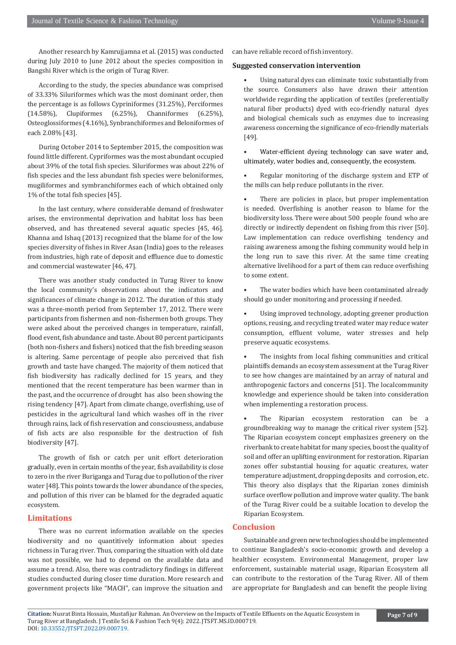Another research by Kamrujjamna et al. (2015) was conducted during July 2010 to June 2012 about the species composition in Bangshi River which is the origin of Turag River.

According to the study, the species abundance was comprised of 33.33% Siluriformes which was the most dominant order, then the percentage is as follows Cypriniformes (31.25%), Perciformes (14.58%), Clupiformes (6.25%), Channiformes (6.25%), Osteoglossiformes (4.16%), Synbranchiformes and Beloniformes of each 2.08% [43].

During October 2014 to September 2015, the composition was found little different. Cypriformes was the most abundant occupied about 39% of the total fish species. Siluriformes was about 22% of fish species and the less abundant fish species were beloniformes, mugiliformes and symbranchiformes each of which obtained only 1% of the total fish species [45].

In the last century, where considerable demand of freshwater arises, the environmental deprivation and habitat loss has been observed, and has threatened several aquatic species [45, 46]. Khanna and Ishaq (2013) recognized that the blame for of the low species diversity of fishes in River Asan (India) goes to the releases from industries, high rate of deposit and effluence due to domestic and commercial wastewater [46, 47].

There was another study conducted in Turag River to know the local community's observations about the indicators and significances of climate change in 2012. The duration of this study was a three-month period from September 17, 2012. There were participants from fishermen and non-fishermen both groups. They were asked about the perceived changes in temperature, rainfall, flood event, fish abundance and taste. About 80 percent participants (both non-fishers and fishers) noticed that the fish breeding season is altering. Same percentage of people also perceived that fish growth and taste have changed. The majority of them noticed that fish biodiversity has radically declined for 15 years, and they mentioned that the recent temperature has been warmer than in the past, and the occurrence of drought has also been showing the rising tendency [47]. Apart from climate change, overfishing, use of pesticides in the agricultural land which washes off in the river through rains, lack of fish reservation and consciousness, andabuse of fish acts are also responsible for the destruction of fish biodiversity [47].

The growth of fish or catch per unit effort deterioration gradually, even in certain months of the year, fish availability is close to zero in the river Buriganga and Turag due to pollution of the river water [48]. This points towards the lower abundance of the species, and pollution of this river can be blamed for the degraded aquatic ecosystem.

# **Limitations**

There was no current information available on the species biodiversity and no quantitively information about species richness in Turag river. Thus, comparing the situation with old date was not possible, we had to depend on the available data and assume a trend. Also, there was contradictory findings in different studies conducted during closer time duration. More research and government projects like "MACH", can improve the situation and

can have reliable record of fish inventory.

# **Suggested conservation intervention**

Using natural dyes can eliminate toxic substantially from the source. Consumers also have drawn their attention worldwide regarding the application of textiles (preferentially natural fiber products) dyed with eco-friendly natural dyes and biological chemicals such as enzymes due to increasing awareness concerning the significance of eco-friendly materials [49].

Water-efficient dyeing technology can save water and, ultimately, water bodies and, consequently, the ecosystem.

• Regular monitoring of the discharge system and ETP of the mills can help reduce pollutants in the river.

There are policies in place, but proper implementation is needed. Overfishing is another reason to blame for the biodiversity loss. There were about 500 people found who are directly or indirectly dependent on fishing from this river [50]. Law implementation can reduce overfishing tendency and raising awareness among the fishing community would help in the long run to save this river. At the same time creating alternative livelihood for a part of them can reduce overfishing to some extent.

The water bodies which have been contaminated already should go under monitoring and processing if needed.

Using improved technology, adopting greener production options, reusing, and recycling treated water may reduce water consumption, effluent volume, water stresses and help preserve aquatic ecosystems.

The insights from local fishing communities and critical plaintiffs demands an ecosystem assessment at the Turag River to see how changes are maintained by an array of natural and anthropogenic factors and concerns [51]. The localcommunity knowledge and experience should be taken into consideration when implementing a restoration process.

• The Riparian ecosystem restoration can be a groundbreaking way to manage the critical river system [52]. The Riparian ecosystem concept emphasizes greenery on the riverbank to create habitat for many species, boost the quality of soil and offer an uplifting environment for restoration. Riparian zones offer substantial housing for aquatic creatures, water temperature adjustment, dropping deposits and corrosion, etc. This theory also displays that the Riparian zones diminish surface overflow pollution and improve water quality. The bank of the Turag River could be a suitable location to develop the Riparian Ecosystem.

# **Conclusion**

Sustainable and green new technologies should be implemented to continue Bangladesh's socio-economic growth and develop a healthier ecosystem. Environmental Management, proper law enforcement, sustainable material usage, Riparian Ecosystem all can contribute to the restoration of the Turag River. All of them are appropriate for Bangladesh and can benefit the people living

**Citation:** Nusrat Binta Hossain, Mustafijur Rahman. An Overview on the Impacts of Textile Effluents on the Aquatic Ecosystem in Turag River at Bangladesh. J Textile Sci & Fashion Tech 9(4): 2022. JTSFT.MS.ID.000719. DOI[: 10.33552/JTSFT.2022.09.000719.](https://dx.doi.org/10.33552/JTSFT.2022.09.000719)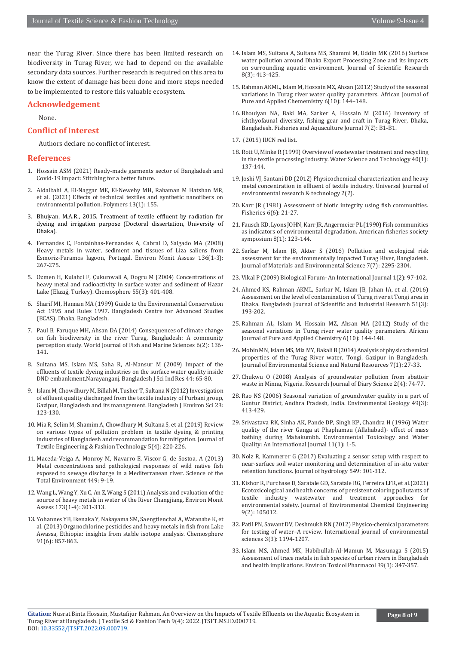near the Turag River. Since there has been limited research on biodiversity in Turag River, we had to depend on the available secondary data sources. Further research is required on this area to know the extent of damage has been done and more steps needed to be implemented to restore this valuable ecosystem.

# **Acknowledgement**

None.

# **Conflict of Interest**

Authors declare no conflict of interest.

### **References**

- 1. Hossain ASM (2021) Ready-made garments sector of Bangladesh and Covid-19 impact: Stitching for a better future.
- 2. Aldalbahi A, El-Naggar ME, El-Newehy MH, Rahaman M Hatshan MR, et al. (2021) Effects of technical textiles and synthetic nanofibers on environmental pollution. Polymers 13(1): 155.
- 3. Bhuiyan, M.A.R., 2015. Treatment of textile effluent by radiation for dyeing and irrigation purpose (Doctoral dissertation, University of Dhaka).
- 4. [Fernandes C, Fontaínhas-Fernandes A, Cabral D, Salgado MA \(2008\)](https://pubmed.ncbi.nlm.nih.gov/17447151/) Heavy metals in water, [sediment](https://pubmed.ncbi.nlm.nih.gov/17447151/) and tissues of Liza saliens from [Esmoriz-Paramos](https://pubmed.ncbi.nlm.nih.gov/17447151/) lagoon, Portugal. Environ Monit Assess 136(1-3): [267-275.](https://pubmed.ncbi.nlm.nih.gov/17447151/)
- 5. [Ozmen H, Kulahçi F, Çukurovali A, Dogru M \(2004\) Concentrations of](https://pubmed.ncbi.nlm.nih.gov/14987939/) [heavy metal and radioactivity in surface water and sediment of Hazar](https://pubmed.ncbi.nlm.nih.gov/14987939/) Lake (Elazığ, Turkey). [Chemosphere 55\(3\):](https://pubmed.ncbi.nlm.nih.gov/14987939/) 401-408.
- 6. Sharif MI, Hannan MA (1999) Guide to the Environmental Conservation Act 1995 and Rules 1997. Bangladesh Centre for Advanced Studies (BCAS), Dhaka, Bangladesh.
- 7. Paul B, Faruque MH, Ahsan DA (2014) Consequences of climate change on fish biodiversity in the river Turag, Bangladesh: A community perception study. World Journal of Fish and Marine Sciences 6(2): 136- 141.
- 8. Sultana MS, Islam MS, Saha R, Al-Mansur M (2009) Impact of the effluents of textile dyeing industries on the surface water quality inside DND embankment,Narayanganj. Bangladesh J Sci Ind Res 44: 65-80.
- 9. Islam M, Chowdhury M, Billah M, Tusher T, Sultana N (2012) Investigation of effluent quality discharged from the textile industry of Purbani group, Gazipur, Bangladesh and its management. Bangladesh J Environ Sci 23: 123-130.
- 10. Mia R, Selim M, Shamim A, Chowdhury M, Sultana S, et al.(2019) Review on various types of pollution problem in textile dyeing & printing industries of Bangladesh and recommandation for mitigation. Journal of Textile Engineering & Fashion Technology 5(4): 220-226.
- 11. [Maceda-Veiga A, Monroy M, Navarro E, Viscor G, de Sostoa, A \(2013\)](https://www.sciencedirect.com/science/article/abs/pii/S0048969713000193) [Metal concentrations and pathological responses of wild native fish](https://www.sciencedirect.com/science/article/abs/pii/S0048969713000193) [exposed to sewage discharge in a Mediterranean river. Science of the](https://www.sciencedirect.com/science/article/abs/pii/S0048969713000193) Total [Environment 449: 9-19.](https://www.sciencedirect.com/science/article/abs/pii/S0048969713000193)
- 12. Wang L, Wang Y, Xu C, An Z,Wang S (2011) Analysis and [evaluation](https://pubmed.ncbi.nlm.nih.gov/20213058/) of the [source of heavy metals in water of the River Changjiang. Environ Monit](https://pubmed.ncbi.nlm.nih.gov/20213058/) Assess [173\(1-4\): 301-313.](https://pubmed.ncbi.nlm.nih.gov/20213058/)
- 13. Yohannes YB, Ikenaka Y, Nakayama SM, [Saengtienchai](https://www.sciencedirect.com/science/article/abs/pii/S0045653513001410) A, Watanabe K, et al. (2013) [Organochlorine](https://www.sciencedirect.com/science/article/abs/pii/S0045653513001410) pesticides and heavy metals in fish from Lake [Awassa, Ethiopia: insights from stable isotope analysis. Chemosphere](https://www.sciencedirect.com/science/article/abs/pii/S0045653513001410) [91\(6\): 857-863.](https://www.sciencedirect.com/science/article/abs/pii/S0045653513001410)
- 14. Islam MS, Sultana A, Sultana MS, Shammi M, Uddin MK (2016) Surface water pollution around Dhaka Export Processing Zone and its impacts on surrounding aquatic environment. Journal of Scientific Research 8(3): 413-425.
- 15. Rahman AKML, Islam M, Hossain MZ, Ahsan (2012) Study of the seasonal variations in Turag river water quality parameters. African Journal of Pure and Applied Chememistry 6(10): 144–148.
- 16. Bhouiyan NA, Baki MA, Sarker A, Hossain M (2016) Inventory of ichthyofaunal diversity, fishing gear and craft in Turag River, Dhaka, Bangladesh. Fisheries and Aquaculture Journal 7(2): B1-B1.
- 17. (2015) IUCN red list.
- 18. Rott U, Minke R (1999) Overview of [wastewater](https://www.sciencedirect.com/science/article/abs/pii/S0273122399003819) treatment and recycling [in the textile processing industry. Water Science and Technology 40\(1\):](https://www.sciencedirect.com/science/article/abs/pii/S0273122399003819) [137-144.](https://www.sciencedirect.com/science/article/abs/pii/S0273122399003819)
- 19. Joshi VJ, Santani DD (2012) Physicochemical characterization and heavy metal concentration in effluent of textile industry. Universal Journal of environmental research & technology 2(2).
- 20. [Karr JR \(1981\) Assessment of biotic integrity using fish communities.](https://www.tandfonline.com/doi/abs/10.1577/1548-8446%281981%29006%3C0021%3AAOBIUF%3E2.0.CO%3B2) [Fisheries 6\(6\): 21-27.](https://www.tandfonline.com/doi/abs/10.1577/1548-8446%281981%29006%3C0021%3AAOBIUF%3E2.0.CO%3B2)
- 21. Fausch KD, Lyons JOHN, Karr JR,Angermeier PL (1990) Fish communities as indicators of environmental degradation. American fisheries society symposium 8(1): 123-144.
- 22. Sarkar M, Islam JB, Akter S (2016) Pollution and ecological risk assessment for the environmentally impacted Turag River, Bangladesh. Journal of Materials and Environmental Science 7(7): 2295-2304.
- 23. Vikal P (2009) Biological Forum- An International Journal 1(2): 97-102.
- 24. Ahmed KS, Rahman AKML, Sarkar M, Islam JB, Jahan IA, et al. (2016) Assessment on the level of contamination of Turag river at Tongi area in Dhaka. Bangladesh Journal of Scientific and Industrial Research 51(3): 193-202.
- 25. Rahman AL, Islam M, Hossain MZ, Ahsan MA (2012) Study of the seasonal variations in Turag river water quality parameters. African Journal of Pure and Applied Chemistry 6(10): 144-148.
- 26. Mobin MN, Islam MS, Mia MY, Bakali B (2014) Analysis of physicochemical properties of the Turag River water, Tongi, Gazipur in Bangladesh. Journal of Environmental Science and Natural Resources 7(1): 27-33.
- 27. Chukwu O (2008) Analysis of groundwater pollution from abattoir waste in Minna, Nigeria. Research Journal of Diary Science 2(4): 74-77.
- 28. Rao NS (2006) Seasonal variation of groundwater quality in a part of Guntur District, Andhra Pradesh, India. Environmental Geology 49(3): 413-429.
- 29. Srivastava RK, Sinha AK, Pande DP, Singh KP, Chandra H (1996) Water quality of the river Ganga at Phaphamau (Allahabad)- effect of mass bathing during Mahakumbh. Environmental Toxicology and Water Quality: An International Journal 11(1): 1-5.
- 30. Nolz R, Kammerer G (2017) Evaluating a sensor setup with respect to near-surface soil water monitoring and determination of in-situ water retention functions. Journal of hydrology 549: 301-312.
- 31. Kishor R, [Purchase](https://www.sciencedirect.com/science/article/abs/pii/S2213343720313610) D, Saratale GD, Saratale RG, Ferreira LFR, et a[l.\(2021\)](https://www.sciencedirect.com/science/article/abs/pii/S2213343720313610) [Ecotoxicological](https://www.sciencedirect.com/science/article/abs/pii/S2213343720313610) and health concerns of persistent coloring [pollutants of](https://www.sciencedirect.com/science/article/abs/pii/S2213343720313610)  [textile industry wastewater and treatment approaches for](https://www.sciencedirect.com/science/article/abs/pii/S2213343720313610) [environmental safety. Journal of Environmental Chemical Engineering](https://www.sciencedirect.com/science/article/abs/pii/S2213343720313610) [9\(2\): 105012.](https://www.sciencedirect.com/science/article/abs/pii/S2213343720313610)
- 32. Patil PN, Sawant DV, Deshmukh RN (2012) Physico-chemical parameters for testing of water–A review. International journal of environmental sciences 3(3): 1194-1207.
- 33. Islam MS, Ahmed MK, Habibullah-Al-Mamun [M, Masunaga S \(2015\)](https://pubmed.ncbi.nlm.nih.gov/25553576/) [Assessment](https://pubmed.ncbi.nlm.nih.gov/25553576/) of trace metals in fish species of urban rivers in Bangladesh and health [implications.](https://pubmed.ncbi.nlm.nih.gov/25553576/) Environ Toxicol Pharmacol 39(1): 347-357.